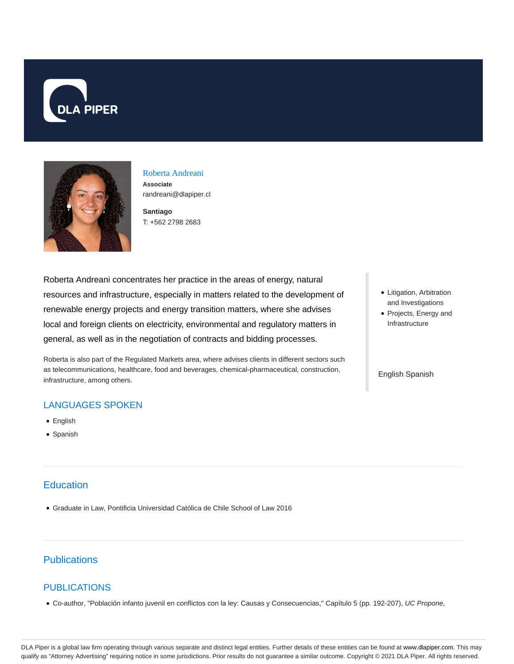



#### Roberta Andreani **Associate** randreani@dlapiper.cl

**Santiago** T: +562 2798 2683

Roberta Andreani concentrates her practice in the areas of energy, natural resources and infrastructure, especially in matters related to the development of renewable energy projects and energy transition matters, where she advises local and foreign clients on electricity, environmental and regulatory matters in general, as well as in the negotiation of contracts and bidding processes.

Roberta is also part of the Regulated Markets area, where advises clients in different sectors such as telecommunications, healthcare, food and beverages, chemical-pharmaceutical, construction, infrastructure, among others.

## LANGUAGES SPOKEN

- English
- Spanish

## **Education**

Graduate in Law, Pontificia Universidad Católica de Chile School of Law 2016

# **Publications**

### PUBLICATIONS

Co-author, "Población infanto juvenil en conflictos con la ley: Causas y Consecuencias," Capítulo 5 (pp. 192-207), UC Propone,

- Litigation, Arbitration and Investigations
- Projects, Energy and Infrastructure

#### English Spanish

DLA Piper is a global law firm operating through various separate and distinct legal entities. Further details of these entities can be found at www.dlapiper.com. This may qualify as "Attorney Advertising" requiring notice in some jurisdictions. Prior results do not guarantee a similar outcome. Copyright © 2021 DLA Piper. All rights reserved.